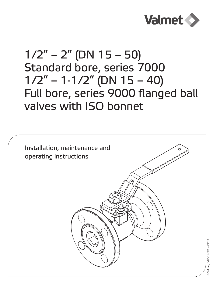

# $1/2" - 2"$  (DN 15 – 50) Standard bore, series 7000  $1/2" - 1-1/2"$  (DN  $15 - 40$ ) Full bore, series 9000 flanged ball valves with ISO bonnet

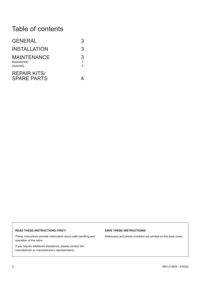# Table of contents

| <b>GENERAL</b>                                | 3           |
|-----------------------------------------------|-------------|
| <b>INSTALLATION</b>                           | 3           |
| <b>MAINTENANCE</b><br>Disassembly<br>Assembly | 3<br>3<br>4 |
| <b>REPAIR KITS/</b><br><b>SPARE PARTS</b>     |             |

#### **READ THESE INSTRUCTIONS FIRST!**

These instructions provide information about safe handling and operation of the valve.

If you require additional assistance, please contact the manufacturer or manufacturer's representative.

#### **SAVE THESE INSTRUCTIONS!**

Addresses and phone numbers are printed on the back cover.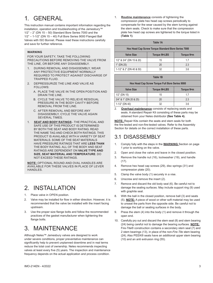## 1. GENERAL

This instruction manual contains important information regarding the installation, operation and troubleshooting of the Jamesbury™  $1/2" - 2"$  (DN  $15 - 50$ ) Standard Bore Series 7000 and the 1/2" – 1-1/2" (DN 15 – 40) Full Bore Series 9000 Flanged Ball Valves with ISO Bonnet. Please read these instructions carefully and save for further reference.

#### **WARNING**

FOR YOUR SAFETY, TAKE THE FOLLOWING PRECAUTIONS BEFORE REMOVING THE VALVE FROM THE LINE, OR BEFORE ANY DISASSEMBLY.

- 1. DURING REMOVAL AND DISASSEMBLY, WEAR ANY PROTECTIVE EQUIPMENT NORMALLY REQUIRED TO PROTECT AGAINST DISCHARGE OF TRAPPED FLUID.
- 2. DEPRESSURIZE THE LINE AND VALVE AS FOLLOWS:
	- A. PLACE THE VALVE IN THE OPEN POSITION AND DRAIN THE LINE.
	- B. CYCLE THE VALVE TO RELIEVE RESIDUAL PRESSURE IN THE BODY CAVITY BEFORE REMOVAL FROM THE LINE.
	- C.AFTER REMOVAL AND BEFORE ANY DISASSEMBLY, CYCLE THE VALVE AGAIN SEVERAL TIMES.
- 1. **SEAT AND BODY RATINGS** THE PRACTICAL AND SAFE USE OF THIS PRODUCT IS DETERMINED BY BOTH THE SEAT AND BODY RATING. READ THE NAME TAG AND CHECK BOTH RATINGS. THIS PRODUCT IS AVAILABLE WITH A VARIETY OF SEAT MATERIALS. SOME OF THE SEAT MATERIALS HAVE PRESSURE RATINGS THAT ARE **LESS THAN** THE BODY RATING. ALL OF THE BODY AND SEAT RATINGS ARE DEPENDENT ON **VALVE TYPE AND SIZE, SEAT MATERIAL AND TEMPERATURE**. DO NOT EXCEED THESE RATINGS.

**NOTE:** OPTIONAL ROUND AND OVAL HANDLES ARE AVAILABLE FOR THESE VALVES IN PLACE OF LEVER HANDLES.

### 2. INSTALLATION

- 1. Place valve in OPEN position.
- 2. Valve may be installed for flow in either direction. However, it is recommended that the valve be installed with the insert facing upstream.
- 3. Use the proper size flange bolts and follow the recommended practices of the gasket manufacturer when tightening the flange bolts.

# 3. MAINTENANCE

Although Neles™ Jamesbury valves are designed to work under severe conditions, proper preventative maintenance can significantly help to prevent unplanned downtime and in real terms reduce the total cost of ownership. Neles recommends inspecting valves at least every five (5) years. The inspection and maintenance frequency depends on the actual application and process condition.

1. **Routine maintenance** consists of tightening the compression plate hex head cap screws periodically to compensate for the wear caused by the stem turning against the stem seals. Check to make sure that the compression plate hex head cap screws are tightened to the torque listed in **(Table 1)**.

| Table 1A                                            |                           |            |  |  |
|-----------------------------------------------------|---------------------------|------------|--|--|
| Hex Head Cap Screw Torque Standard Bore Series 7000 |                           |            |  |  |
| <b>Valve Size</b>                                   | Torque IN <sup>-LBS</sup> | Torque N•m |  |  |
| 1/2" & 3/4" (DN 15 & 20)                            | 15                        | 17         |  |  |
| 1" (DN 25)                                          | 20                        | 2.3        |  |  |
| $1-1/2$ " & 2" (DN 40 & 50)                         | 32                        | 36         |  |  |

| Table 1B                                        |                           |            |  |  |  |
|-------------------------------------------------|---------------------------|------------|--|--|--|
| Hex Head Cap Screw Torque Full Bore Series 9000 |                           |            |  |  |  |
| <b>Valve Size</b>                               | Torque IN <sup>-LBS</sup> | Torque N•m |  |  |  |
| $1/2$ " (DN 15)                                 | 15                        | 17         |  |  |  |
| 3/4" & 1" (DN 20 & 25)                          | 20                        | 2.3        |  |  |  |
| $1-1/2$ " (DN 40)                               | 32                        | 3.6        |  |  |  |

2. **Overhaul maintenance** consists of replacing seats and seals. A standard Repair Kit consisting of these parts may be obtained from your Neles distributor **(See Table 4).**

**NOTE:** Repair Kits contain the seats and stem seals for both the fire-tested and non-fire-tested valves. Refer to the Assembly Section for details on the correct installation of these parts.

### 3.1 DISASSEMBLY

- 1. Comply fully with the steps in the **WARNING** Section on page 1 prior to working on the valve.
- 2. Open and close the valve and leave in the closed position.
- 3. Remove the handle nut (16), lockwasher (19), and handle  $(17)$ .
- 4. Remove hex head cap screws (29), disc springs (31) and compression plate (20).
- 5. Clamp the valve body (1) securely in a vise.
- 6. Unscrew and remove the insert (2).
- 7. Remove and discard the old body seal (6). Be careful not to damage the sealing surfaces. May include support ring (9) used with graphite seal.
- 8. With the ball in the closed position, remove ball (3) and seats (5). **NOTE:** A piece of wood or other soft material may be used to unseat the parts from the opposite side. Be careful not to damage the ball or seating surfaces in the body.
- 9. Press the stem (4) into the body (1) and remove it through the open end.
- 10. Carefully pry out and discard the stem seal (8) and stem bearing (24) being careful not to damage the bearing surfaces. **NOTE:** Fire-Tite® construction contains a secondary stem seal (7) and 2 stem bearings (13), in place of the non-*Fire-Tite* stem bearing (24). Also PEEK® seats have an additional upper stem bearing (10) and an anti extrusion ring (55).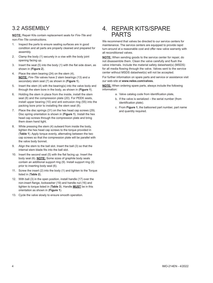### 3.2 ASSEMBLY

**NOTE:** Repair Kits contain replacement seals for *Fire-Tite* and non-*Fire-Tite* constructions.

- 1. Inspect the parts to ensure sealing surfaces are in good condition and all parts are properly cleaned and prepared for assembly.
- 2. Clamp the body (1) securely in a vise with the body joint opening facing up.
- 3. Insert the seat (5) into the body (1) with the flat side down, as shown in (**Figure 2**).
- 4. Place the stem bearing (24) on the stem (4). **NOTE:** *Fire-Tite* valves have 2 stem bearings (13) and a secondary stem seal (7) as shown in (**Figure 1**).
- 5. Insert the stem (4) with the bearing(s) into the valve body and through the stem bore in the body, as shown in (**Figure 1**).
- 6. Holding the stem in place from the inside, install the stem seal (8) and the compression plate (20). For PEEK seats, install upper bearing (10) and anti extrusion ring (55) into the packing bore prior to installing the stem seal (8).
- 7. Place the disc springs (31) on the hex head cap screws (29). Disc spring orientation is shown in (**Figure 1**). Install the hex head cap screws through the compression plate and bring them down hand tight.
- 8. While pressing the stem (4) outward from inside the body, tighten the hex head cap screws to the torque provided in (**Table 1**). Apply torque evenly, alternating between the two cap screws so that the compression plate will be parallel with the valve body bonnet.
- 9. Align the stem to the ball slot. Insert the ball (3) so that the internal stem blade fits into the ball slot.
- 10. Insert the second seat (5) with the flat facing up. Insert the body seal (6). **NOTE:** Some sizes of graphite body seals contain an additional support ring (9). Install support ring (9) prior to inserting body seal (6).
- 11. Screw the insert (2) into the body (1) and tighten to the Torque listed in (**Table 2**).
- 12. With ball (3) in the open position, install handle (17) over the non-insert flange, lockwasher (19) and handle nut (16) and tighten to torque listed in (**Table 3**). Handle **MUST** be in this orientation as shown in (**Figure 1**).
- 13. Cycle the valve slowly to ensure smooth operation.

### 4. REPAIR KITS/SPARE PARTS

We recommend that valves be directed to our service centers for maintenance. The service centers are equipped to provide rapid turn-around at a reasonable cost and offer new valve warranty with all reconditioned valves.

**NOTE:** When sending goods to the service center for repair, do not disassemble them. Clean the valve carefully and flush the valve internals. Include the material safety datasheet(s) (MSDS) for all media flowing through the valve. Valves sent to the service center without MSDS datasheet(s) will not be accepted.

For further information on spare parts and service or assistance visit our web-site at **www.neles.com/valves.**

**NOTE:** When ordering spare parts, always include the following information:

- a. Valve catalog code from identification plate,
- b. If the valve is serialized the serial number (from identification plate).
- c. From **Figure 1**, the ballooned part number, part name and quantity required.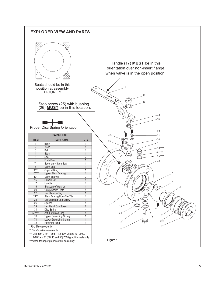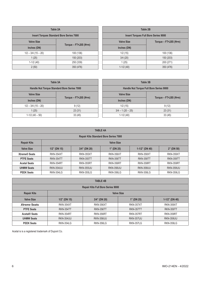| Table 2A                                        |                       |  |  |
|-------------------------------------------------|-----------------------|--|--|
| <b>Insert Torques Standard Bore Series 7000</b> |                       |  |  |
| <b>Valve Size</b>                               |                       |  |  |
| Inches (DN)                                     | Torque - FT.LBS (N.m) |  |  |
| $1/2 - 3/4 (15 - 20)$                           | 100 (136)             |  |  |
| 1(25)                                           | 150 (203)             |  |  |
| $1-1/2(40)$                                     | 250 (339)             |  |  |
| 2(50)                                           | 350 (476)             |  |  |

| Table 2B                                    |                       |  |  |
|---------------------------------------------|-----------------------|--|--|
| <b>Insert Torques Full Bore Series 9000</b> |                       |  |  |
| <b>Valve Size</b>                           | Torque - FT.LBS (N.m) |  |  |
| Inches (DN)                                 |                       |  |  |
| 1/2(15)                                     | 100 (136)             |  |  |
| 3/4(20)                                     | 150 (203)             |  |  |
| 1(25)                                       | 200 (271)             |  |  |
| $1-1/2(40)$                                 | 350 (476)             |  |  |

| Table 3A                                    |  | Table 3B                                |                       |  |
|---------------------------------------------|--|-----------------------------------------|-----------------------|--|
| Handle Nut Torque Standard Bore Series 7000 |  | Handle Nut Torque Full Bore Series 9000 |                       |  |
| Torque - FT.LBS (N.m)                       |  | <b>Valve Size</b>                       |                       |  |
|                                             |  | Inches (DN)                             | Torque - FT•LBS (N•m) |  |
| 9(12)                                       |  | 1/2(15)                                 | 9(12)                 |  |
| 23(31)                                      |  | $3/4 - 1(20 - 25)$                      | 23(31)                |  |
| 33(45)                                      |  | $1-1/2(40)$                             | 33(45)                |  |
|                                             |  |                                         |                       |  |

| <b>TABLE 4A</b>                              |                   |                  |                  |                   |                  |
|----------------------------------------------|-------------------|------------------|------------------|-------------------|------------------|
| <b>Repair Kits Standard Bore Series 7000</b> |                   |                  |                  |                   |                  |
| <b>Repair Kits</b>                           | <b>Valve Size</b> |                  |                  |                   |                  |
| <b>Valve Size</b>                            | $1/2$ " (DN 15)   | $3/4$ " (DN 20)  | $1"$ (DN 25)     | $1-1/2$ " (DN 40) | $2"$ (DN 50)     |
| <b>Xtreme® Seats</b>                         | <b>RKN-354XT</b>  | <b>RKN-355XT</b> | <b>RKN-356XT</b> | <b>RKN-358XT</b>  | <b>RKN-359XT</b> |
| <b>PTFE Seats</b>                            | RKN-354TT         | <b>RKN-355TT</b> | <b>RKN-356TT</b> | <b>RKN-358TT</b>  | <b>RKN-359TT</b> |
| <b>Acetal Seats</b>                          | RKN-354RT         | <b>RKN-355RT</b> | <b>RKN-356RT</b> | <b>RKN-358RT</b>  | RKN-359RT        |
| <b>UHMW Seats</b>                            | <b>RKN-354UU</b>  | <b>RKN-355UU</b> | <b>RKN-356UU</b> | <b>RKN-358UU</b>  | <b>RKN-359UU</b> |
| <b>PEEK Seats</b>                            | <b>RKN-354LG</b>  | <b>RKN-355LG</b> | <b>RKN-356LG</b> | <b>RKN-358LG</b>  | <b>RKN-359LG</b> |

| <b>TABLE 4B</b>                          |                   |                  |                  |                   |  |
|------------------------------------------|-------------------|------------------|------------------|-------------------|--|
| <b>Repair Kits Full Bore Series 9000</b> |                   |                  |                  |                   |  |
| <b>Repair Kits</b>                       | <b>Valve Size</b> |                  |                  |                   |  |
| <b>Valve Size</b>                        | $1/2$ " (DN 15)   | $3/4$ " (DN 20)  | $1"$ (DN 25)     | $1-1/2$ " (DN 40) |  |
| <b>Xtreme Seats</b>                      | <b>RKN-354XT</b>  | <b>RKN-356XT</b> | <b>RKN-357XT</b> | <b>RKN-359XT</b>  |  |
| <b>PTFE Seats</b>                        | <b>RKN-354TT</b>  | <b>RKN-356TT</b> | <b>RKN-357TT</b> | <b>RKN-359TT</b>  |  |
| <b>Acetal® Seats</b>                     | <b>RKN-354RT</b>  | <b>RKN-356RT</b> | <b>RKN-357RT</b> | <b>RKN-359RT</b>  |  |
| <b>UHMW Seats</b>                        | <b>RKN-354UU</b>  | <b>RKN-356UU</b> | <b>RKN-357UU</b> | <b>RKN-359UU</b>  |  |
| <b>PEEK Seats</b>                        | <b>RKN-354LG</b>  | <b>RKN-356LG</b> | <b>RKN-357LG</b> | <b>RKN-359LG</b>  |  |

Acetal is is a registered trademark of Dupont Co.